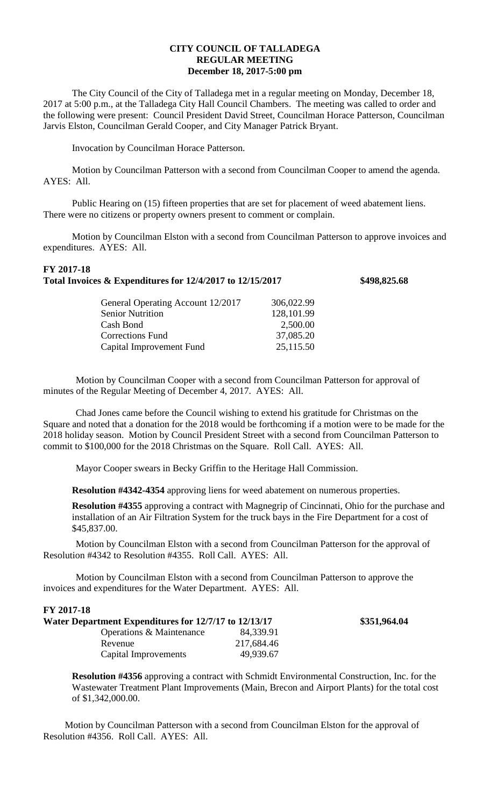## **CITY COUNCIL OF TALLADEGA REGULAR MEETING December 18, 2017-5:00 pm**

The City Council of the City of Talladega met in a regular meeting on Monday, December 18, 2017 at 5:00 p.m., at the Talladega City Hall Council Chambers. The meeting was called to order and the following were present: Council President David Street, Councilman Horace Patterson, Councilman Jarvis Elston, Councilman Gerald Cooper, and City Manager Patrick Bryant.

Invocation by Councilman Horace Patterson.

Motion by Councilman Patterson with a second from Councilman Cooper to amend the agenda. AYES: All.

Public Hearing on (15) fifteen properties that are set for placement of weed abatement liens. There were no citizens or property owners present to comment or complain.

Motion by Councilman Elston with a second from Councilman Patterson to approve invoices and expenditures. AYES: All.

## **FY 2017-18 Total Invoices & Expenditures for 12/4/2017 to 12/15/2017 \$498,825.68**

| General Operating Account 12/2017 | 306,022.99 |
|-----------------------------------|------------|
| <b>Senior Nutrition</b>           | 128,101.99 |
| Cash Bond                         | 2,500.00   |
| <b>Corrections Fund</b>           | 37,085.20  |
| Capital Improvement Fund          | 25,115.50  |
|                                   |            |

Motion by Councilman Cooper with a second from Councilman Patterson for approval of minutes of the Regular Meeting of December 4, 2017. AYES: All.

Chad Jones came before the Council wishing to extend his gratitude for Christmas on the Square and noted that a donation for the 2018 would be forthcoming if a motion were to be made for the 2018 holiday season. Motion by Council President Street with a second from Councilman Patterson to commit to \$100,000 for the 2018 Christmas on the Square. Roll Call. AYES: All.

Mayor Cooper swears in Becky Griffin to the Heritage Hall Commission.

**Resolution #4342-4354** approving liens for weed abatement on numerous properties.

**Resolution #4355** approving a contract with Magnegrip of Cincinnati, Ohio for the purchase and installation of an Air Filtration System for the truck bays in the Fire Department for a cost of \$45,837.00.

Motion by Councilman Elston with a second from Councilman Patterson for the approval of Resolution #4342 to Resolution #4355. Roll Call. AYES: All.

Motion by Councilman Elston with a second from Councilman Patterson to approve the invoices and expenditures for the Water Department. AYES: All.

| FY 2017-18                                            |            |              |
|-------------------------------------------------------|------------|--------------|
| Water Department Expenditures for 12/7/17 to 12/13/17 |            | \$351,964.04 |
| Operations & Maintenance                              | 84,339.91  |              |
| Revenue                                               | 217,684.46 |              |
| Capital Improvements                                  | 49,939.67  |              |

**Resolution #4356** approving a contract with Schmidt Environmental Construction, Inc. for the Wastewater Treatment Plant Improvements (Main, Brecon and Airport Plants) for the total cost of \$1,342,000.00.

Motion by Councilman Patterson with a second from Councilman Elston for the approval of Resolution #4356. Roll Call. AYES: All.